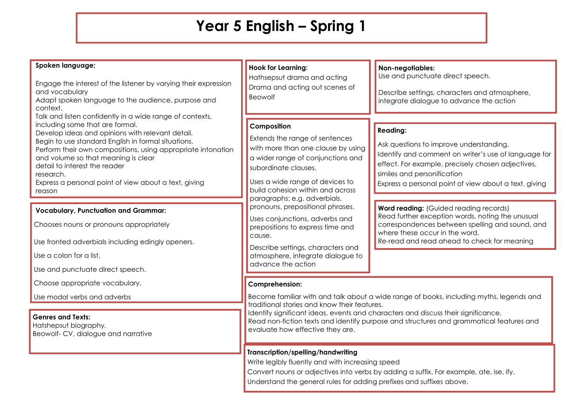## **Year 5 English – Spring 1**

| Spoken language:<br>Engage the interest of the listener by varying their expression<br>and vocabulary<br>Adapt spoken language to the audience, purpose and<br>context.<br>Talk and listen confidently in a wide range of contexts,<br>including some that are formal.<br>Develop ideas and opinions with relevant detail.<br>Begin to use standard English in formal situations.<br>Perform their own compositions, using appropriate intonation<br>and volume so that meaning is clear<br>detail to interest the reader<br>research.<br>Express a personal point of view about a text, giving<br>reason<br><b>Vocabulary, Punctuation and Grammar:</b><br>Chooses nouns or pronouns appropriately<br>Use fronted adverbials including edingly openers.<br>Use a colon for a list. | <b>Hook for Learning:</b><br>Hathsepsut drama and acting<br>Drama and acting out scenes of<br>Beowolf                                                                                                                                                                                                                                                                                                                                                                       | Non-negotiables:<br>Use and punctuate direct speech.<br>Describe settings, characters and atmosphere,<br>integrate dialogue to advance the action                                                                                                                                                                                                                                                                                                                                                        |
|-------------------------------------------------------------------------------------------------------------------------------------------------------------------------------------------------------------------------------------------------------------------------------------------------------------------------------------------------------------------------------------------------------------------------------------------------------------------------------------------------------------------------------------------------------------------------------------------------------------------------------------------------------------------------------------------------------------------------------------------------------------------------------------|-----------------------------------------------------------------------------------------------------------------------------------------------------------------------------------------------------------------------------------------------------------------------------------------------------------------------------------------------------------------------------------------------------------------------------------------------------------------------------|----------------------------------------------------------------------------------------------------------------------------------------------------------------------------------------------------------------------------------------------------------------------------------------------------------------------------------------------------------------------------------------------------------------------------------------------------------------------------------------------------------|
|                                                                                                                                                                                                                                                                                                                                                                                                                                                                                                                                                                                                                                                                                                                                                                                     | Composition<br>Extends the range of sentences<br>with more than one clause by using<br>a wider range of conjunctions and<br>subordinate clauses.<br>Uses a wide range of devices to<br>build cohesion within and across<br>paragraphs: e.g. adverbials,<br>pronouns, prepositional phrases.<br>Uses conjunctions, adverbs and<br>prepositions to express time and<br>cause.<br>Describe settings, characters and<br>atmosphere, integrate dialogue to<br>advance the action | <b>Reading:</b><br>Ask questions to improve understanding.<br>Identify and comment on writer's use of language for<br>effect. For example, precisely chosen adjectives,<br>similes and personification<br>Express a personal point of view about a text, giving<br><b>Word reading:</b> (Guided reading records)<br>Read further exception words, noting the unusual<br>correspondences between spelling and sound, and<br>where these occur in the word.<br>Re-read and read ahead to check for meaning |
| Use and punctuate direct speech.<br>Choose appropriate vocabulary.<br>Use modal verbs and adverbs                                                                                                                                                                                                                                                                                                                                                                                                                                                                                                                                                                                                                                                                                   | <b>Comprehension:</b><br>Become familiar with and talk about a wide range of books, including myths, legends and<br>traditional stories and know their features.<br>Identify significant ideas, events and characters and discuss their significance.<br>Read non-fiction texts and identify purpose and structures and grammatical features and<br>evaluate how effective they are.                                                                                        |                                                                                                                                                                                                                                                                                                                                                                                                                                                                                                          |
| <b>Genres and Texts:</b><br>Hatshepsut biography.<br>Beowolf- CV, dialogue and narrative                                                                                                                                                                                                                                                                                                                                                                                                                                                                                                                                                                                                                                                                                            |                                                                                                                                                                                                                                                                                                                                                                                                                                                                             |                                                                                                                                                                                                                                                                                                                                                                                                                                                                                                          |

## **Transcription/spelling/handwriting**

Write legibly fluently and with increasing speed

Convert nouns or adjectives into verbs by adding a suffix. For example, ate, ise, ify.

Understand the general rules for adding prefixes and suffixes above.